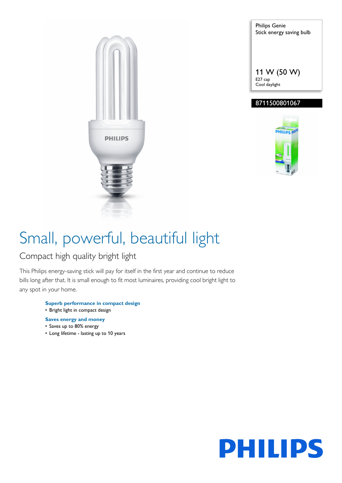

Philips Genie Stick energy saving bulb 11 W (50 W) E27 cap Cool daylight

### 8711500801067



# Small, powerful, beautiful light

### Compact high quality bright light

This Philips energy-saving stick will pay for itself in the first year and continue to reduce bills long after that. It is small enough to fit most luminaires, providing cool bright light to any spot in your home.

- **Superb performance in compact design** • Bright light in compact design
- **Saves energy and money**
- Saves up to 80% energy
- Long lifetime lasting up to 10 years